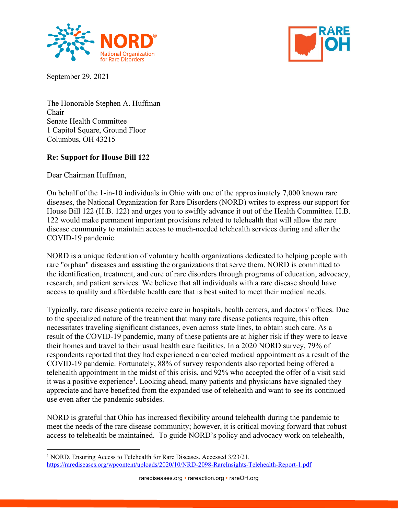



September 29, 2021

The Honorable Stephen A. Huffman Chair Senate Health Committee 1 Capitol Square, Ground Floor Columbus, OH 43215

## **Re: Support for House Bill 122**

Dear Chairman Huffman,

On behalf of the 1-in-10 individuals in Ohio with one of the approximately 7,000 known rare diseases, the National Organization for Rare Disorders (NORD) writes to express our support for House Bill 122 (H.B. 122) and urges you to swiftly advance it out of the Health Committee. H.B. 122 would make permanent important provisions related to telehealth that will allow the rare disease community to maintain access to much-needed telehealth services during and after the COVID-19 pandemic.

NORD is a unique federation of voluntary health organizations dedicated to helping people with rare "orphan" diseases and assisting the organizations that serve them. NORD is committed to the identification, treatment, and cure of rare disorders through programs of education, advocacy, research, and patient services. We believe that all individuals with a rare disease should have access to quality and affordable health care that is best suited to meet their medical needs.

Typically, rare disease patients receive care in hospitals, health centers, and doctors' offices. Due to the specialized nature of the treatment that many rare disease patients require, this often necessitates traveling significant distances, even across state lines, to obtain such care. As a result of the COVID-19 pandemic, many of these patients are at higher risk if they were to leave their homes and travel to their usual health care facilities. In a 2020 NORD survey, 79% of respondents reported that they had experienced a canceled medical appointment as a result of the COVID-19 pandemic. Fortunately, 88% of survey respondents also reported being offered a telehealth appointment in the midst of this crisis, and 92% who accepted the offer of a visit said it was a positive experience<sup>1</sup>. Looking ahead, many patients and physicians have signaled they appreciate and have benefited from the expanded use of telehealth and want to see its continued use even after the pandemic subsides.

NORD is grateful that Ohio has increased flexibility around telehealth during the pandemic to meet the needs of the rare disease community; however, it is critical moving forward that robust access to telehealth be maintained. To guide NORD's policy and advocacy work on telehealth,

<sup>&</sup>lt;sup>1</sup> NORD. Ensuring Access to Telehealth for Rare Diseases. Accessed 3/23/21. <https://rarediseases.org/wpcontent/uploads/2020/10/NRD-2098-RareInsights-Telehealth-Report-1.pdf>